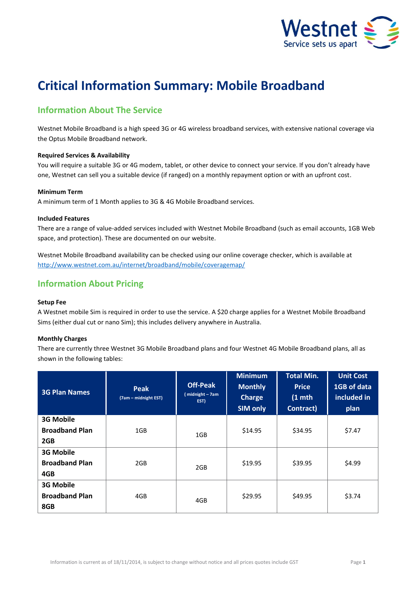

# **Critical Information Summary: Mobile Broadband**

# **Information About The Service**

Westnet Mobile Broadband is a high speed 3G or 4G wireless broadband services, with extensive national coverage via the Optus Mobile Broadband network.

## **Required Services & Availability**

You will require a suitable 3G or 4G modem, tablet, or other device to connect your service. If you don't already have one, Westnet can sell you a suitable device (if ranged) on a monthly repayment option or with an upfront cost.

## **Minimum Term**

A minimum term of 1 Month applies to 3G & 4G Mobile Broadband services.

## **Included Features**

There are a range of value-added services included with Westnet Mobile Broadband (such as email accounts, 1GB Web space, and protection). These are documented on our website.

Westnet Mobile Broadband availability can be checked using our online coverage checker, which is available at <http://www.westnet.com.au/internet/broadband/mobile/coveragemap/>

# **Information About Pricing**

## **Setup Fee**

A Westnet mobile Sim is required in order to use the service. A \$20 charge applies for a Westnet Mobile Broadband Sims (either dual cut or nano Sim); this includes delivery anywhere in Australia.

## **Monthly Charges**

There are currently three Westnet 3G Mobile Broadband plans and four Westnet 4G Mobile Broadband plans, all as shown in the following tables:

| <b>3G Plan Names</b>  | Peak<br>(7am – midnight EST) | <b>Off-Peak</b><br>(midnight - 7am<br>EST) | <b>Minimum</b><br><b>Monthly</b><br><b>Charge</b><br><b>SIM only</b> | <b>Total Min.</b><br><b>Price</b><br>$(1$ mth<br>Contract) | <b>Unit Cost</b><br>1GB of data<br>included in<br>plan |
|-----------------------|------------------------------|--------------------------------------------|----------------------------------------------------------------------|------------------------------------------------------------|--------------------------------------------------------|
| <b>3G Mobile</b>      |                              |                                            |                                                                      |                                                            |                                                        |
| <b>Broadband Plan</b> | 1GB                          | 1GB                                        | \$14.95                                                              | \$34.95                                                    | \$7.47                                                 |
| 2GB                   |                              |                                            |                                                                      |                                                            |                                                        |
| <b>3G Mobile</b>      |                              |                                            |                                                                      |                                                            |                                                        |
| <b>Broadband Plan</b> | 2GB                          | 2GB                                        | \$19.95                                                              | \$39.95                                                    | \$4.99                                                 |
| 4GB                   |                              |                                            |                                                                      |                                                            |                                                        |
| <b>3G Mobile</b>      |                              |                                            |                                                                      |                                                            |                                                        |
| <b>Broadband Plan</b> | 4GB                          | 4GB                                        | \$29.95                                                              | \$49.95                                                    | \$3.74                                                 |
| 8GB                   |                              |                                            |                                                                      |                                                            |                                                        |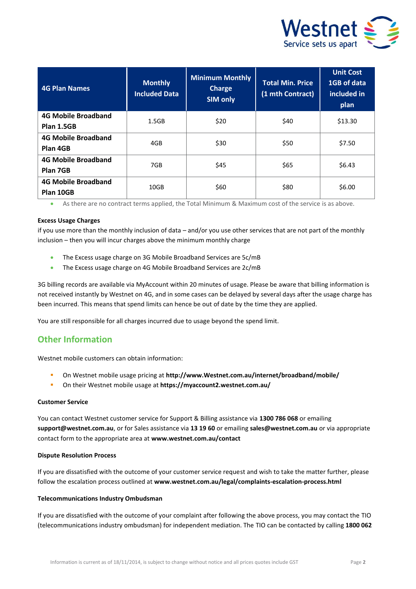

| <b>4G Plan Names</b>                     | <b>Monthly</b><br><b>Included Data</b> | <b>Minimum Monthly</b><br><b>Charge</b><br><b>SIM only</b> | <b>Total Min. Price</b><br>(1 mth Contract) | <b>Unit Cost</b><br>1GB of data<br>included in<br>plan |
|------------------------------------------|----------------------------------------|------------------------------------------------------------|---------------------------------------------|--------------------------------------------------------|
| <b>4G Mobile Broadband</b><br>Plan 1.5GB | 1.5GB                                  | \$20                                                       | \$40                                        | \$13.30                                                |
| <b>4G Mobile Broadband</b><br>Plan 4GB   | 4GB                                    | \$30                                                       | \$50                                        | \$7.50                                                 |
| <b>4G Mobile Broadband</b><br>Plan 7GB   | 7GB                                    | \$45                                                       | \$65                                        | \$6.43                                                 |
| <b>4G Mobile Broadband</b><br>Plan 10GB  | 10GB                                   | \$60                                                       | \$80                                        | \$6.00                                                 |

As there are no contract terms applied, the Total Minimum & Maximum cost of the service is as above.

## **Excess Usage Charges**

if you use more than the monthly inclusion of data – and/or you use other services that are not part of the monthly inclusion – then you will incur charges above the minimum monthly charge

- The Excess usage charge on 3G Mobile Broadband Services are 5c/mB
- The Excess usage charge on 4G Mobile Broadband Services are 2c/mB

3G billing records are available via MyAccount within 20 minutes of usage. Please be aware that billing information is not received instantly by Westnet on 4G, and in some cases can be delayed by several days after the usage charge has been incurred. This means that spend limits can hence be out of date by the time they are applied.

You are still responsible for all charges incurred due to usage beyond the spend limit.

## **Other Information**

Westnet mobile customers can obtain information:

- On Westnet mobile usage pricing at **[http://www.Westnet.com.au/internet/broadband/mobile/](http://www.iinet.net.au/internet/broadband/mobile/)**
- On their Westnet mobile usage at **<https://myaccount2.westnet.com.au/>**

## **Customer Service**

You can contact Westnet customer service for Support & Billing assistance via **1300 786 068** or emailing **support@westnet.com.au**, or for Sales assistance via **13 19 60** or emailing **sales@westnet.com.au** or via appropriate contact form to the appropriate area at **www.westnet.com.au/contact**

## **Dispute Resolution Process**

If you are dissatisfied with the outcome of your customer service request and wish to take the matter further, please follow the escalation process outlined at **www.westnet.com.au/legal/complaints-escalation-process.html** 

## **Telecommunications Industry Ombudsman**

If you are dissatisfied with the outcome of your complaint after following the above process, you may contact the TIO (telecommunications industry ombudsman) for independent mediation. The TIO can be contacted by calling **1800 062**